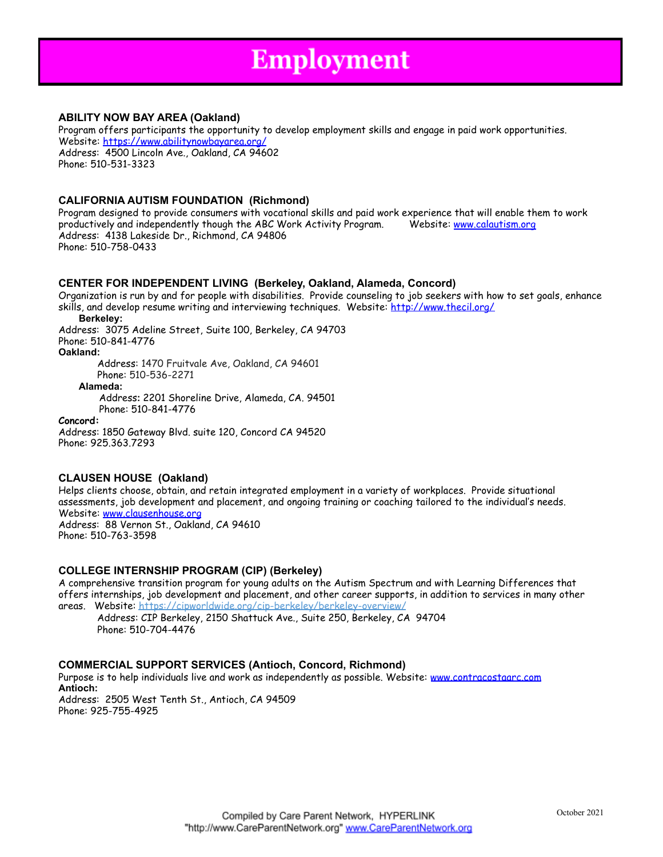# **Employment**

## **ABILITY NOW BAY AREA (Oakland)**

Program offers participants the opportunity to develop employment skills and engage in paid work opportunities. Website: <https://www.abilitynowbayarea.org/> Address: 4500 Lincoln Ave., Oakland, CA 94602 Phone: 510-531-3323

## **CALIFORNIA AUTISM FOUNDATION (Richmond)**

Program designed to provide consumers with vocational skills and paid work experience that will enable them to work productively and independently though the ABC Work Activity Program. Website: www.calautism.org Address: 4138 Lakeside Dr., Richmond, CA 94806 Phone: 510-758-0433

## **CENTER FOR INDEPENDENT LIVING (Berkeley, Oakland, Alameda, Concord)**

Organization is run by and for people with disabilities. Provide counseling to job seekers with how to set goals, enhance skills, and develop resume writing and interviewing techniques. Website: <http://www.thecil.org/>

**Berkeley:** Address: 3075 Adeline Street, Suite 100, Berkeley, CA 94703 Phone: 510-841-4776 **Oakland:** Address: 1470 Fruitvale Ave, Oakland, CA 94601

Phone: 510-536-2271

### **Alameda:**

Address**:** 2201 Shoreline Drive, Alameda, CA. 94501 Phone: 510-841-4776

### **Concord:**

Address: 1850 Gateway Blvd. suite 120, Concord CA 94520 Phone: 925.363.7293

## **CLAUSEN HOUSE (Oakland)**

Helps clients choose, obtain, and retain integrated employment in a variety of workplaces. Provide situational assessments, job development and placement, and ongoing training or coaching tailored to the individual's needs. Website: www.clausenhouse.org Address: 88 Vernon St., Oakland, CA 94610 Phone: 510-763-3598

## **COLLEGE INTERNSHIP PROGRAM (CIP) (Berkeley)**

A comprehensive transition program for young adults on the Autism Spectrum and with Learning Differences that offers internships, job development and placement, and other career supports, in addition to services in many other areas. Website: https://cipworldwide.org/cip-berkeley/berkeley-overview/

Address: CIP Berkeley, 2150 Shattuck Ave., Suite 250, Berkeley, CA 94704 Phone: 510-704-4476

## **COMMERCIAL SUPPORT SERVICES (Antioch, Concord, Richmond)**

Purpose is to help individuals live and work as independently as possible. Website: www.contracostaarc.com **Antioch:** Address: 2505 West Tenth St., Antioch, CA 94509

Phone: 925-755-4925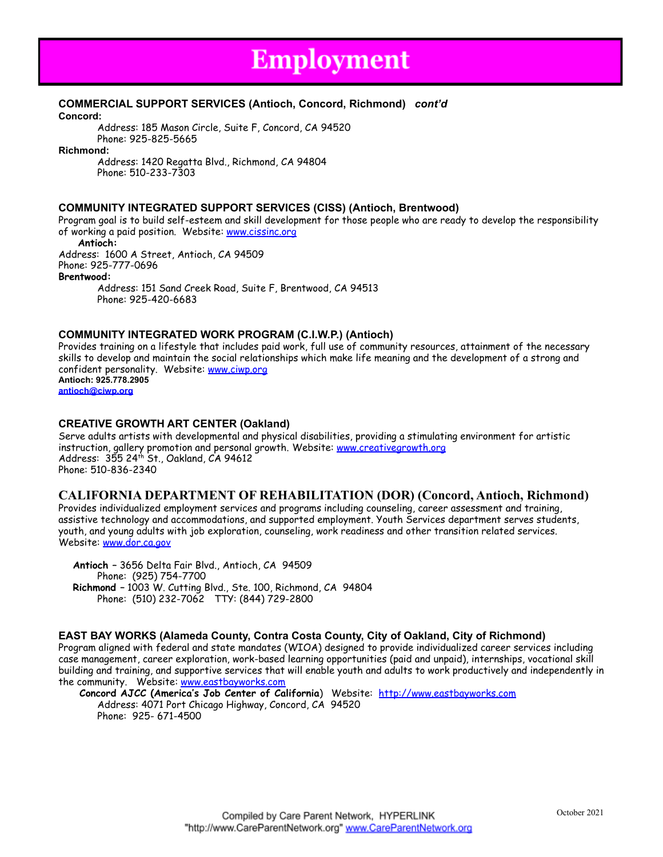## **Employment**

## **COMMERCIAL SUPPORT SERVICES (Antioch, Concord, Richmond)** *cont'd*

**Concord:**

Address: 185 Mason Circle, Suite F, Concord, CA 94520 Phone: 925-825-5665

**Richmond:**

Address: 1420 Regatta Blvd., Richmond, CA 94804 Phone: 510-233-7303

## **COMMUNITY INTEGRATED SUPPORT SERVICES (CISS) (Antioch, Brentwood)**

Program goal is to build self-esteem and skill development for those people who are ready to develop the responsibility of working a paid position. Website: [www.cissinc.org](http://www.cissinc.org)

**Antioch:**

Address: 1600 A Street, Antioch, CA 94509 Phone: 925-777-0696

**Brentwood:**

Address: 151 Sand Creek Road, Suite F, Brentwood, CA 94513 Phone: 925-420-6683

## **COMMUNITY INTEGRATED WORK PROGRAM (C.I.W.P.) (Antioch)**

Provides training on a lifestyle that includes paid work, full use of community resources, attainment of the necessary skills to develop and maintain the social relationships which make life meaning and the development of a strong and confident personality. Website: www.ciwp.org **Antioch: 925.778.2905 [antioch@ciwp.org](mailto:antioch@ciwp.org)**

## **CREATIVE GROWTH ART CENTER (Oakland)**

Serve adults artists with developmental and physical disabilities, providing a stimulating environment for artistic instruction, gallery promotion and personal growth. Website: [www.creativegrowth.org](http://www.creativegrowth.org) Address:  $355$  24th St., Oakland, CA 94612 Phone: 510-836-2340

## **CALIFORNIA DEPARTMENT OF REHABILITATION (DOR) (Concord, Antioch, Richmond)**

Provides individualized employment services and programs including counseling, career assessment and training, assistive technology and accommodations, and supported employment. Youth Services department serves students, youth, and young adults with job exploration, counseling, work readiness and other transition related services. Website: [www.dor.ca.gov](http://www.dor.ca.gov)

**Antioch –** 3656 Delta Fair Blvd., Antioch, CA 94509 Phone: (925) 754-7700 **Richmond –** 1003 W. Cutting Blvd., Ste. 100, Richmond, CA 94804 Phone: (510) 232-7062 TTY: (844) 729-2800

## **EAST BAY WORKS (Alameda County, Contra Costa County, City of Oakland, City of Richmond)**

Program aligned with federal and state mandates (WIOA) designed to provide individualized career services including case management, career exploration, work-based learning opportunities (paid and unpaid), internships, vocational skill building and training, and supportive services that will enable youth and adults to work productively and independently in the community. Website: [www.eastbayworks.com](http://www.eastbayworks.com)

**Concord AJCC (America's Job Center of California**) Website: http://www.eastbayworks.com Address: 4071 Port Chicago Highway, Concord, CA 94520 Phone: 925- 671-4500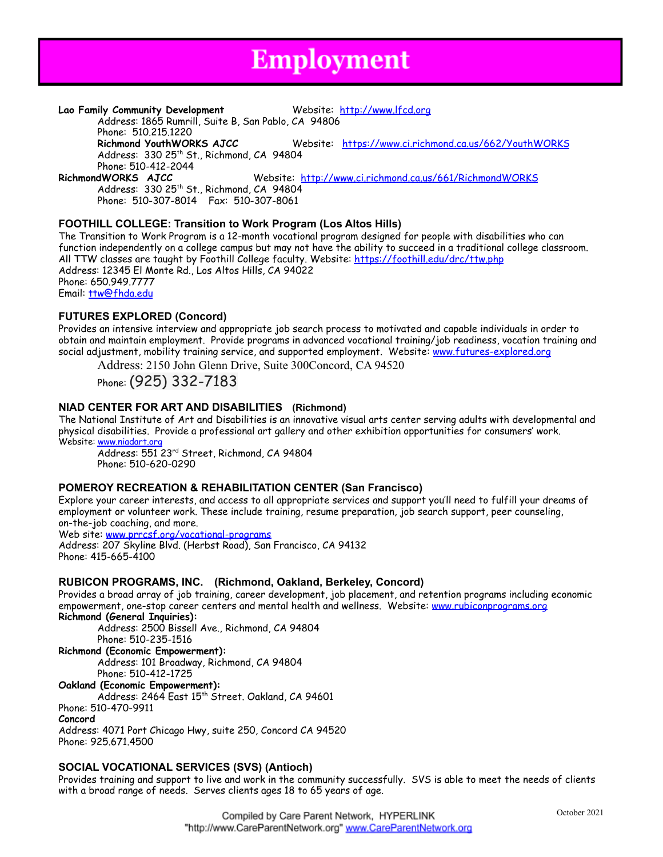## **Employment**

### **Lao Family Community Development** Website: [http://www.lfcd.org](http://www.lfcd.org/)

Address: 1865 Rumrill, Suite B, San Pablo, CA 94806 Phone: 510.215.1220

**Richmond YouthWORKS AJCC** Website: <https://www.ci.richmond.ca.us/662/YouthWORKS> Address: 330 25<sup>th</sup> St., Richmond, CA 94804

Phone: 510-412-2044<br>RichmondWORKS AJCC Website: <http://www.ci.richmond.ca.us/661/RichmondWORKS> Address: 330 25<sup>th</sup> St., Richmond, CA 94804

Phone: 510-307-8014 Fax: 510-307-8061

## **FOOTHILL COLLEGE: Transition to Work Program (Los Altos Hills)**

The Transition to Work Program is a 12-month vocational program designed for people with disabilities who can function independently on a college campus but may not have the ability to succeed in a traditional college classroom. All TTW classes are taught by Foothill College faculty. Website:<https://foothill.edu/drc/ttw.php> Address: 12345 El Monte Rd., Los Altos Hills, CA 94022 Phone: 650.949.7777 Email: [ttw@fhda.edu](mailto:ttw@fhda.edu)

## **FUTURES EXPLORED (Concord)**

Provides an intensive interview and appropriate job search process to motivated and capable individuals in order to obtain and maintain employment. Provide programs in advanced vocational training/job readiness, vocation training and social adjustment, mobility training service, and supported employment. Website: [www.futures-explored.org](http://www.futures-explored.org)

Address: 2150 John Glenn Drive, Suite 300Concord, CA 94520

Phone: (925) 332-7183

## **NIAD CENTER FOR ART AND DISABILITIES (Richmond)**

The National Institute of Art and Disabilities is an innovative visual arts center serving adults with developmental and physical disabilities. Provide a professional art gallery and other exhibition opportunities for consumers' work. Website: [www.niadart.org](http://www.niadart.org)

Address: 551 23rd Street, Richmond, CA 94804 Phone: 510-620-0290

## **POMEROY RECREATION & REHABILITATION CENTER (San Francisco)**

Explore your career interests, and access to all appropriate services and support you'll need to fulfill your dreams of employment or volunteer work. These include training, resume preparation, job search support, peer counseling, on-the-job coaching, and more.

Web site: [www.prrcsf.org/vocational-programs](http://www.prrcsf.org/vocational-programs)

Address: 207 Skyline Blvd. (Herbst Road), San Francisco, CA 94132 Phone: 415-665-4100

## **RUBICON PROGRAMS, INC. (Richmond, Oakland, Berkeley, Concord)**

Provides a broad array of job training, career development, job placement, and retention programs including economic empowerment, one-stop career centers and mental health and wellness. Website: [www.rubiconprograms.org](http://www.rubiconprograms.org)

**Richmond (General Inquiries):**

Address: 2500 Bissell Ave., Richmond, CA 94804 Phone: 510-235-1516

**Richmond (Economic Empowerment):**

Address: 101 Broadway, Richmond, CA 94804

Phone: 510-412-1725 **Oakland (Economic Empowerment):**

Address: 2464 East 15<sup>th</sup> Street. Oakland, CA 94601

Phone: 510-470-9911

**Concord**

Address: 4071 Port Chicago Hwy, suite 250, Concord CA 94520 Phone: 925.671.4500

## **SOCIAL VOCATIONAL SERVICES (SVS) (Antioch)**

Provides training and support to live and work in the community successfully. SVS is able to meet the needs of clients with a broad range of needs. Serves clients ages 18 to 65 years of age.